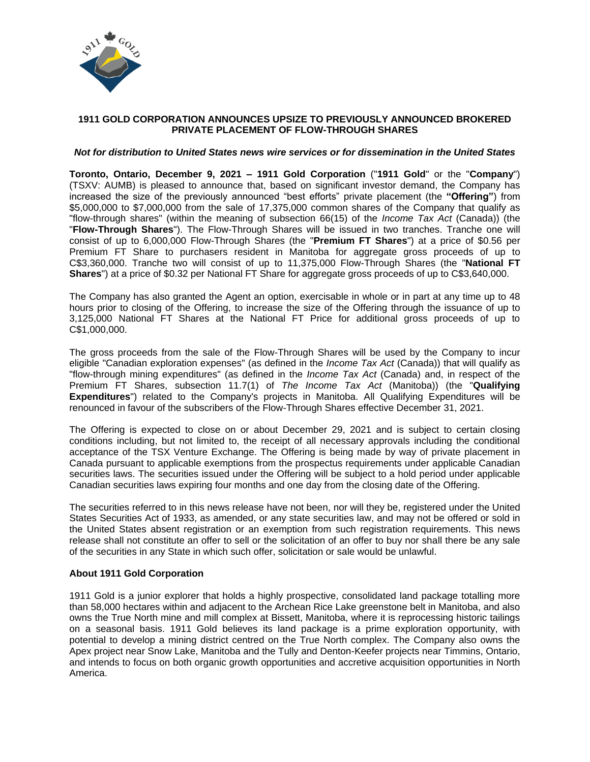

# **1911 GOLD CORPORATION ANNOUNCES UPSIZE TO PREVIOUSLY ANNOUNCED BROKERED PRIVATE PLACEMENT OF FLOW-THROUGH SHARES**

### *Not for distribution to United States news wire services or for dissemination in the United States*

**Toronto, Ontario, December 9, 2021 – 1911 Gold Corporation** ("**1911 Gold**" or the "**Company**") (TSXV: AUMB) is pleased to announce that, based on significant investor demand, the Company has increased the size of the previously announced "best efforts" private placement (the **"Offering"**) from \$5,000,000 to \$7,000,000 from the sale of 17,375,000 common shares of the Company that qualify as "flow-through shares" (within the meaning of subsection 66(15) of the *Income Tax Act* (Canada)) (the "**Flow-Through Shares**"). The Flow-Through Shares will be issued in two tranches. Tranche one will consist of up to 6,000,000 Flow-Through Shares (the "**Premium FT Shares**") at a price of \$0.56 per Premium FT Share to purchasers resident in Manitoba for aggregate gross proceeds of up to C\$3,360,000. Tranche two will consist of up to 11,375,000 Flow-Through Shares (the "**National FT Shares**") at a price of \$0.32 per National FT Share for aggregate gross proceeds of up to C\$3,640,000.

The Company has also granted the Agent an option, exercisable in whole or in part at any time up to 48 hours prior to closing of the Offering, to increase the size of the Offering through the issuance of up to 3,125,000 National FT Shares at the National FT Price for additional gross proceeds of up to C\$1,000,000.

The gross proceeds from the sale of the Flow-Through Shares will be used by the Company to incur eligible "Canadian exploration expenses" (as defined in the *Income Tax Act* (Canada)) that will qualify as "flow-through mining expenditures" (as defined in the *Income Tax Act* (Canada) and, in respect of the Premium FT Shares, subsection 11.7(1) of *The Income Tax Act* (Manitoba)) (the "**Qualifying Expenditures**") related to the Company's projects in Manitoba. All Qualifying Expenditures will be renounced in favour of the subscribers of the Flow-Through Shares effective December 31, 2021.

The Offering is expected to close on or about December 29, 2021 and is subject to certain closing conditions including, but not limited to, the receipt of all necessary approvals including the conditional acceptance of the TSX Venture Exchange. The Offering is being made by way of private placement in Canada pursuant to applicable exemptions from the prospectus requirements under applicable Canadian securities laws. The securities issued under the Offering will be subject to a hold period under applicable Canadian securities laws expiring four months and one day from the closing date of the Offering.

The securities referred to in this news release have not been, nor will they be, registered under the United States Securities Act of 1933, as amended, or any state securities law, and may not be offered or sold in the United States absent registration or an exemption from such registration requirements. This news release shall not constitute an offer to sell or the solicitation of an offer to buy nor shall there be any sale of the securities in any State in which such offer, solicitation or sale would be unlawful.

## **About 1911 Gold Corporation**

1911 Gold is a junior explorer that holds a highly prospective, consolidated land package totalling more than 58,000 hectares within and adjacent to the Archean Rice Lake greenstone belt in Manitoba, and also owns the True North mine and mill complex at Bissett, Manitoba, where it is reprocessing historic tailings on a seasonal basis. 1911 Gold believes its land package is a prime exploration opportunity, with potential to develop a mining district centred on the True North complex. The Company also owns the Apex project near Snow Lake, Manitoba and the Tully and Denton-Keefer projects near Timmins, Ontario, and intends to focus on both organic growth opportunities and accretive acquisition opportunities in North America.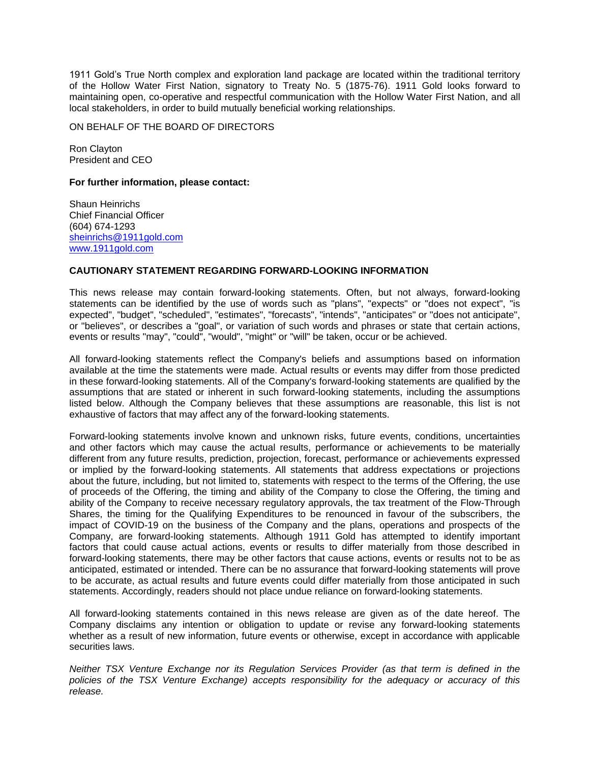1911 Gold's True North complex and exploration land package are located within the traditional territory of the Hollow Water First Nation, signatory to Treaty No. 5 (1875-76). 1911 Gold looks forward to maintaining open, co-operative and respectful communication with the Hollow Water First Nation, and all local stakeholders, in order to build mutually beneficial working relationships.

ON BEHALF OF THE BOARD OF DIRECTORS

Ron Clayton President and CEO

#### **For further information, please contact:**

Shaun Heinrichs Chief Financial Officer (604) 674-1293 [sheinrichs@1911gold.com](mailto:sheinrichs@1911gold.com) [www.1911gold.com](http://www.1911gold.com/)

# **CAUTIONARY STATEMENT REGARDING FORWARD-LOOKING INFORMATION**

This news release may contain forward-looking statements. Often, but not always, forward-looking statements can be identified by the use of words such as "plans", "expects" or "does not expect", "is expected", "budget", "scheduled", "estimates", "forecasts", "intends", "anticipates" or "does not anticipate", or "believes", or describes a "goal", or variation of such words and phrases or state that certain actions, events or results "may", "could", "would", "might" or "will" be taken, occur or be achieved.

All forward-looking statements reflect the Company's beliefs and assumptions based on information available at the time the statements were made. Actual results or events may differ from those predicted in these forward-looking statements. All of the Company's forward-looking statements are qualified by the assumptions that are stated or inherent in such forward-looking statements, including the assumptions listed below. Although the Company believes that these assumptions are reasonable, this list is not exhaustive of factors that may affect any of the forward-looking statements.

Forward-looking statements involve known and unknown risks, future events, conditions, uncertainties and other factors which may cause the actual results, performance or achievements to be materially different from any future results, prediction, projection, forecast, performance or achievements expressed or implied by the forward-looking statements. All statements that address expectations or projections about the future, including, but not limited to, statements with respect to the terms of the Offering, the use of proceeds of the Offering, the timing and ability of the Company to close the Offering, the timing and ability of the Company to receive necessary regulatory approvals, the tax treatment of the Flow-Through Shares, the timing for the Qualifying Expenditures to be renounced in favour of the subscribers, the impact of COVID-19 on the business of the Company and the plans, operations and prospects of the Company, are forward-looking statements. Although 1911 Gold has attempted to identify important factors that could cause actual actions, events or results to differ materially from those described in forward-looking statements, there may be other factors that cause actions, events or results not to be as anticipated, estimated or intended. There can be no assurance that forward-looking statements will prove to be accurate, as actual results and future events could differ materially from those anticipated in such statements. Accordingly, readers should not place undue reliance on forward-looking statements.

All forward-looking statements contained in this news release are given as of the date hereof. The Company disclaims any intention or obligation to update or revise any forward-looking statements whether as a result of new information, future events or otherwise, except in accordance with applicable securities laws.

*Neither TSX Venture Exchange nor its Regulation Services Provider (as that term is defined in the policies of the TSX Venture Exchange) accepts responsibility for the adequacy or accuracy of this release.*